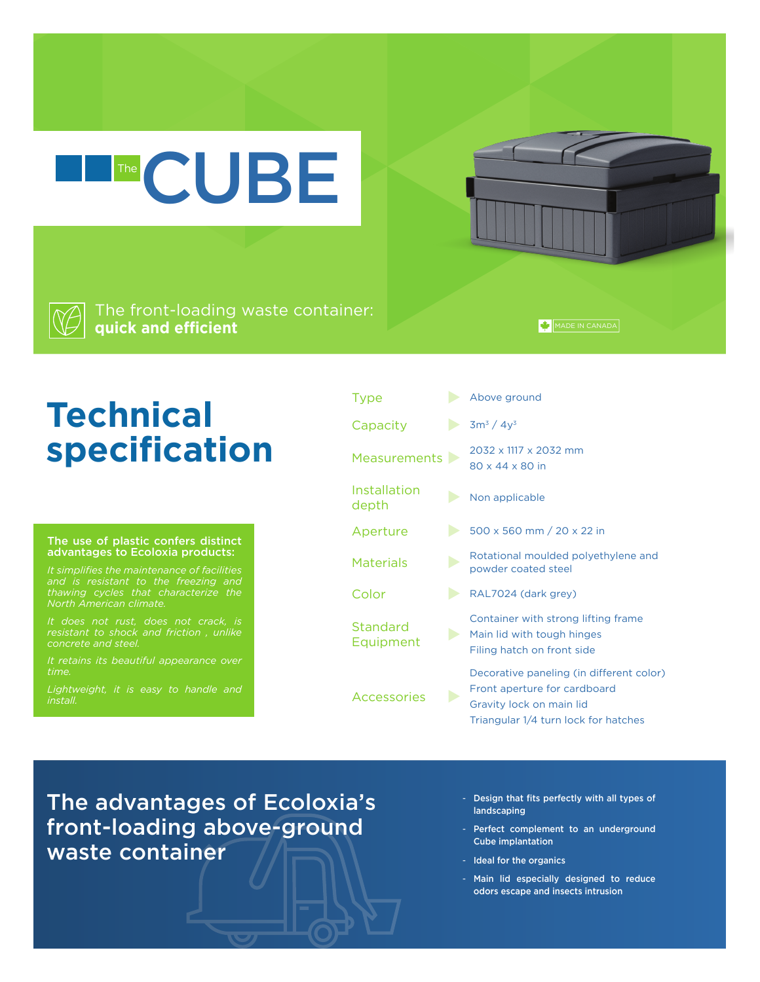The front-loading waste container: **quick and efficient**

The CUBE

## **Technical specification**

## The use of plastic confers distinct advantages to Ecoloxia products:

*and is resistant to the freezing and* 

*concrete and steel.* 

*It retains its beautiful appearance over time.* 

| <b>Type</b>           | Above ground                                                                                                                                 |
|-----------------------|----------------------------------------------------------------------------------------------------------------------------------------------|
| Capacity              | $3m^3 / 4y^3$                                                                                                                                |
| Measurements          | 2032 x 1117 x 2032 mm<br>80 x 44 x 80 in                                                                                                     |
| Installation<br>depth | Non applicable                                                                                                                               |
| Aperture              | 500 x 560 mm / 20 x 22 in                                                                                                                    |
| <b>Materials</b>      | Rotational moulded polyethylene and<br>powder coated steel                                                                                   |
| Color                 | RAL7024 (dark grey)                                                                                                                          |
| Standard<br>Equipment | Container with strong lifting frame<br>Main lid with tough hinges<br>Filing hatch on front side                                              |
| <b>Accessories</b>    | Decorative paneling (in different color)<br>Front aperture for cardboard<br>Gravity lock on main lid<br>Triangular 1/4 turn lock for hatches |

The advantages of Ecoloxia's front-loading above-ground waste container

- Design that fits perfectly with all types of landscaping

MADE IN CANADA

- Perfect complement to an underground Cube implantation
- Ideal for the organics
- Main lid especially designed to reduce odors escape and insects intrusion